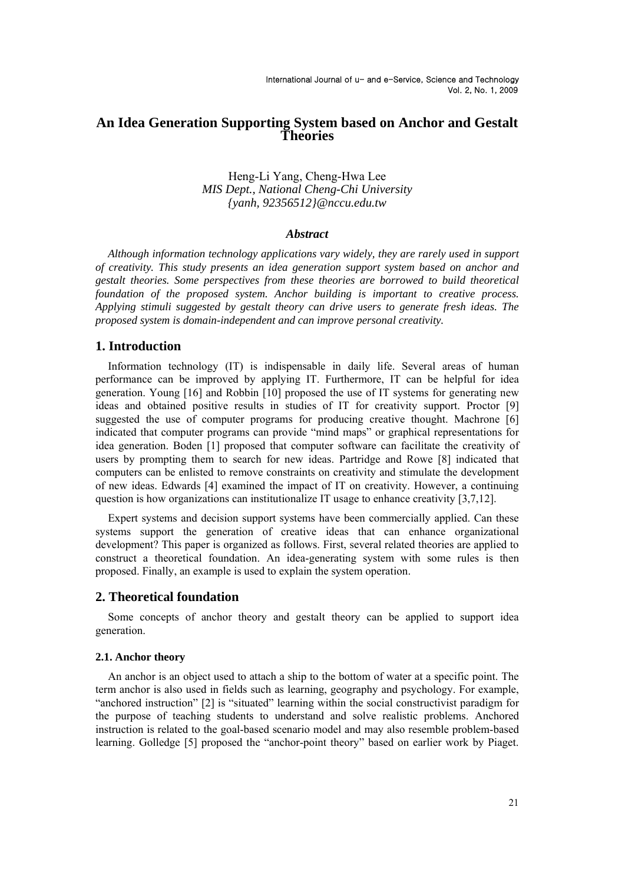# **An Idea Generation Supporting System based on Anchor and Gestalt Theories**

# Heng-Li Yang, Cheng-Hwa Lee *MIS Dept., National Cheng-Chi University {yanh, 92356512}@nccu.edu.tw*

## *Abstract*

*Although information technology applications vary widely, they are rarely used in support of creativity. This study presents an idea generation support system based on anchor and gestalt theories. Some perspectives from these theories are borrowed to build theoretical foundation of the proposed system. Anchor building is important to creative process. Applying stimuli suggested by gestalt theory can drive users to generate fresh ideas. The proposed system is domain-independent and can improve personal creativity.* 

# **1. Introduction**

Information technology (IT) is indispensable in daily life. Several areas of human performance can be improved by applying IT. Furthermore, IT can be helpful for idea generation. Young [16] and Robbin [10] proposed the use of IT systems for generating new ideas and obtained positive results in studies of IT for creativity support. Proctor [9] suggested the use of computer programs for producing creative thought. Machrone [6] indicated that computer programs can provide "mind maps" or graphical representations for idea generation. Boden [1] proposed that computer software can facilitate the creativity of users by prompting them to search for new ideas. Partridge and Rowe [8] indicated that computers can be enlisted to remove constraints on creativity and stimulate the development of new ideas. Edwards [4] examined the impact of IT on creativity. However, a continuing question is how organizations can institutionalize IT usage to enhance creativity [3,7,12].

Expert systems and decision support systems have been commercially applied. Can these systems support the generation of creative ideas that can enhance organizational development? This paper is organized as follows. First, several related theories are applied to construct a theoretical foundation. An idea-generating system with some rules is then proposed. Finally, an example is used to explain the system operation.

## **2. Theoretical foundation**

Some concepts of anchor theory and gestalt theory can be applied to support idea generation.

### **2.1. Anchor theory**

An anchor is an object used to attach a ship to the bottom of water at a specific point. The term anchor is also used in fields such as learning, geography and psychology. For example, "anchored instruction" [2] is "situated" learning within the social constructivist paradigm for the purpose of teaching students to understand and solve realistic problems. Anchored instruction is related to the goal-based scenario model and may also resemble problem-based learning. Golledge [5] proposed the "anchor-point theory" based on earlier work by Piaget.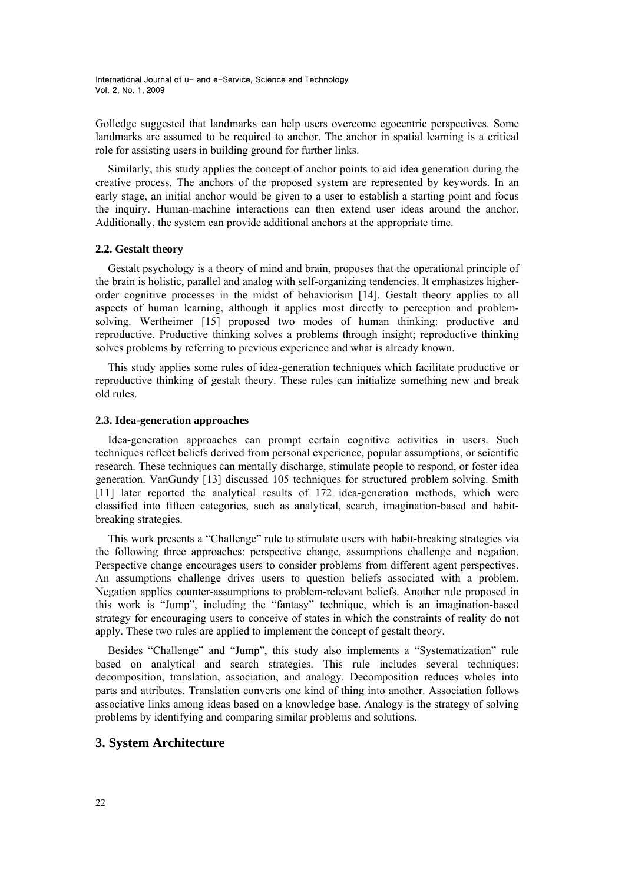Golledge suggested that landmarks can help users overcome egocentric perspectives. Some landmarks are assumed to be required to anchor. The anchor in spatial learning is a critical role for assisting users in building ground for further links.

Similarly, this study applies the concept of anchor points to aid idea generation during the creative process. The anchors of the proposed system are represented by keywords. In an early stage, an initial anchor would be given to a user to establish a starting point and focus the inquiry. Human-machine interactions can then extend user ideas around the anchor. Additionally, the system can provide additional anchors at the appropriate time.

#### **2.2. Gestalt theory**

Gestalt psychology is a theory of mind and brain, proposes that the operational principle of the brain is holistic, parallel and analog with self-organizing tendencies. It emphasizes higherorder cognitive processes in the midst of behaviorism [14]. Gestalt theory applies to all aspects of human learning, although it applies most directly to perception and problemsolving. Wertheimer [15] proposed two modes of human thinking: productive and reproductive. Productive thinking solves a problems through insight; reproductive thinking solves problems by referring to previous experience and what is already known.

This study applies some rules of idea-generation techniques which facilitate productive or reproductive thinking of gestalt theory. These rules can initialize something new and break old rules.

### **2.3. Idea-generation approaches**

Idea-generation approaches can prompt certain cognitive activities in users. Such techniques reflect beliefs derived from personal experience, popular assumptions, or scientific research. These techniques can mentally discharge, stimulate people to respond, or foster idea generation. VanGundy [13] discussed 105 techniques for structured problem solving. Smith [11] later reported the analytical results of 172 idea-generation methods, which were classified into fifteen categories, such as analytical, search, imagination-based and habitbreaking strategies.

This work presents a "Challenge" rule to stimulate users with habit-breaking strategies via the following three approaches: perspective change, assumptions challenge and negation. Perspective change encourages users to consider problems from different agent perspectives. An assumptions challenge drives users to question beliefs associated with a problem. Negation applies counter-assumptions to problem-relevant beliefs. Another rule proposed in this work is "Jump", including the "fantasy" technique, which is an imagination-based strategy for encouraging users to conceive of states in which the constraints of reality do not apply. These two rules are applied to implement the concept of gestalt theory.

Besides "Challenge" and "Jump", this study also implements a "Systematization" rule based on analytical and search strategies. This rule includes several techniques: decomposition, translation, association, and analogy. Decomposition reduces wholes into parts and attributes. Translation converts one kind of thing into another. Association follows associative links among ideas based on a knowledge base. Analogy is the strategy of solving problems by identifying and comparing similar problems and solutions.

# **3. System Architecture**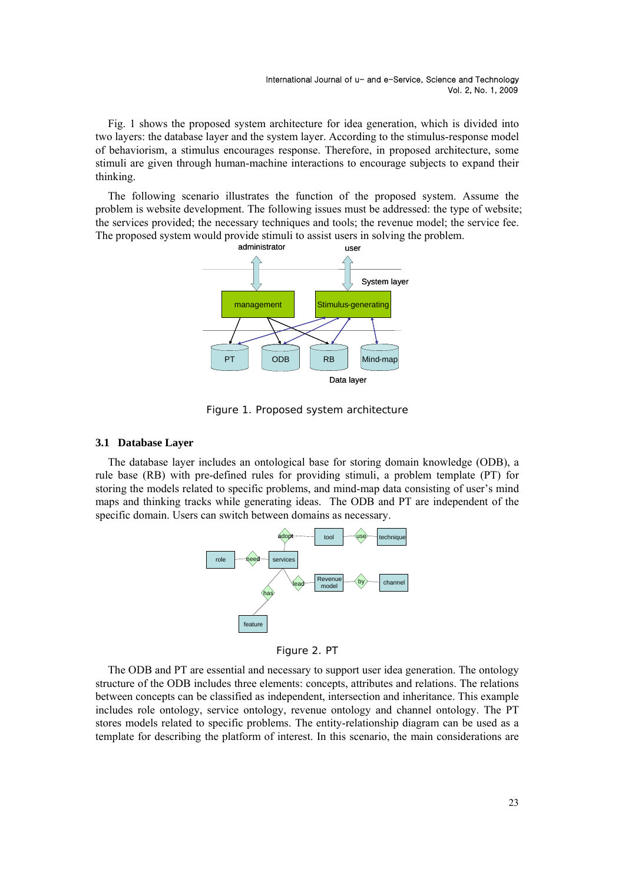Fig. 1 shows the proposed system architecture for idea generation, which is divided into two layers: the database layer and the system layer. According to the stimulus-response model of behaviorism, a stimulus encourages response. Therefore, in proposed architecture, some stimuli are given through human-machine interactions to encourage subjects to expand their thinking.

The following scenario illustrates the function of the proposed system. Assume the problem is website development. The following issues must be addressed: the type of website; the services provided; the necessary techniques and tools; the revenue model; the service fee. The proposed system would provide stimuli to assist users in solving the problem.



Figure 1. Proposed system architecture

### **3.1 Database Layer**

The database layer includes an ontological base for storing domain knowledge (ODB), a rule base (RB) with pre-defined rules for providing stimuli, a problem template (PT) for storing the models related to specific problems, and mind-map data consisting of user's mind maps and thinking tracks while generating ideas. The ODB and PT are independent of the specific domain. Users can switch between domains as necessary.



Figure 2. PT

The ODB and PT are essential and necessary to support user idea generation. The ontology structure of the ODB includes three elements: concepts, attributes and relations. The relations between concepts can be classified as independent, intersection and inheritance. This example includes role ontology, service ontology, revenue ontology and channel ontology. The PT stores models related to specific problems. The entity-relationship diagram can be used as a template for describing the platform of interest. In this scenario, the main considerations are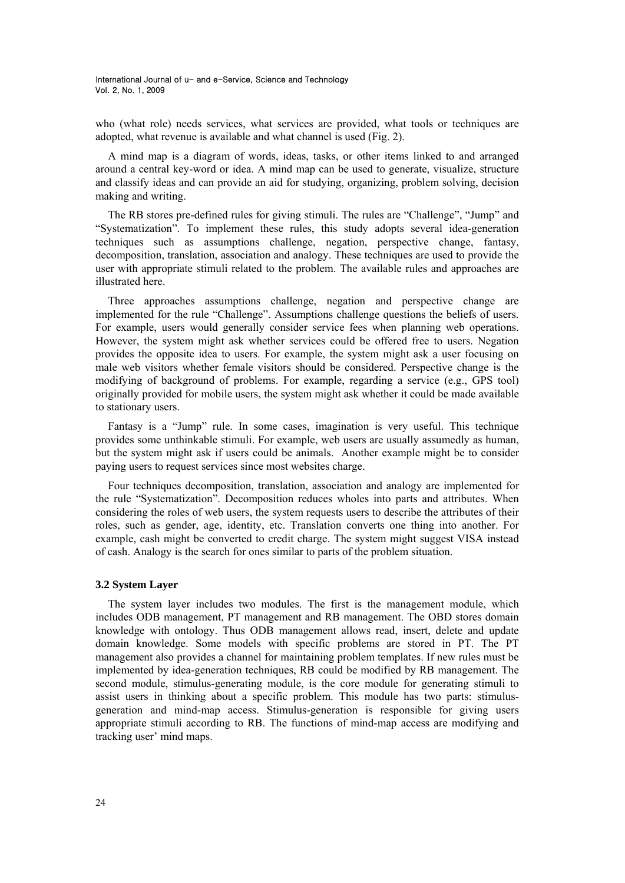who (what role) needs services, what services are provided, what tools or techniques are adopted, what revenue is available and what channel is used (Fig. 2).

A mind map is a diagram of words, ideas, tasks, or other items linked to and arranged around a central key-word or idea. A mind map can be used to generate, visualize, structure and classify ideas and can provide an aid for studying, organizing, problem solving, decision making and writing.

The RB stores pre-defined rules for giving stimuli. The rules are "Challenge", "Jump" and "Systematization". To implement these rules, this study adopts several idea-generation techniques such as assumptions challenge, negation, perspective change, fantasy, decomposition, translation, association and analogy. These techniques are used to provide the user with appropriate stimuli related to the problem. The available rules and approaches are illustrated here.

Three approaches assumptions challenge, negation and perspective change are implemented for the rule "Challenge". Assumptions challenge questions the beliefs of users. For example, users would generally consider service fees when planning web operations. However, the system might ask whether services could be offered free to users. Negation provides the opposite idea to users. For example, the system might ask a user focusing on male web visitors whether female visitors should be considered. Perspective change is the modifying of background of problems. For example, regarding a service (e.g., GPS tool) originally provided for mobile users, the system might ask whether it could be made available to stationary users.

Fantasy is a "Jump" rule. In some cases, imagination is very useful. This technique provides some unthinkable stimuli. For example, web users are usually assumedly as human, but the system might ask if users could be animals. Another example might be to consider paying users to request services since most websites charge.

Four techniques decomposition, translation, association and analogy are implemented for the rule "Systematization". Decomposition reduces wholes into parts and attributes. When considering the roles of web users, the system requests users to describe the attributes of their roles, such as gender, age, identity, etc. Translation converts one thing into another. For example, cash might be converted to credit charge. The system might suggest VISA instead of cash. Analogy is the search for ones similar to parts of the problem situation.

### **3.2 System Layer**

The system layer includes two modules. The first is the management module, which includes ODB management, PT management and RB management. The OBD stores domain knowledge with ontology. Thus ODB management allows read, insert, delete and update domain knowledge. Some models with specific problems are stored in PT. The PT management also provides a channel for maintaining problem templates. If new rules must be implemented by idea-generation techniques, RB could be modified by RB management. The second module, stimulus-generating module, is the core module for generating stimuli to assist users in thinking about a specific problem. This module has two parts: stimulusgeneration and mind-map access. Stimulus-generation is responsible for giving users appropriate stimuli according to RB. The functions of mind-map access are modifying and tracking user' mind maps.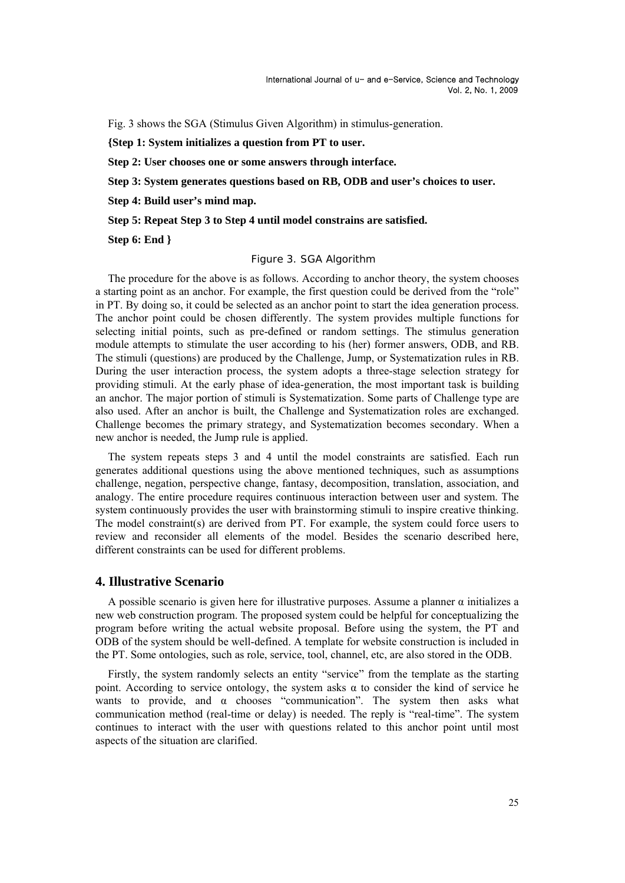Fig. 3 shows the SGA (Stimulus Given Algorithm) in stimulus-generation.

**{Step 1: System initializes a question from PT to user.** 

**Step 2: User chooses one or some answers through interface.** 

**Step 3: System generates questions based on RB, ODB and user's choices to user.** 

**Step 4: Build user's mind map.** 

**Step 5: Repeat Step 3 to Step 4 until model constrains are satisfied.** 

**Step 6: End }**

#### Figure 3. SGA Algorithm

The procedure for the above is as follows. According to anchor theory, the system chooses a starting point as an anchor. For example, the first question could be derived from the "role" in PT. By doing so, it could be selected as an anchor point to start the idea generation process. The anchor point could be chosen differently. The system provides multiple functions for selecting initial points, such as pre-defined or random settings. The stimulus generation module attempts to stimulate the user according to his (her) former answers, ODB, and RB. The stimuli (questions) are produced by the Challenge, Jump, or Systematization rules in RB. During the user interaction process, the system adopts a three-stage selection strategy for providing stimuli. At the early phase of idea-generation, the most important task is building an anchor. The major portion of stimuli is Systematization. Some parts of Challenge type are also used. After an anchor is built, the Challenge and Systematization roles are exchanged. Challenge becomes the primary strategy, and Systematization becomes secondary. When a new anchor is needed, the Jump rule is applied.

The system repeats steps 3 and 4 until the model constraints are satisfied. Each run generates additional questions using the above mentioned techniques, such as assumptions challenge, negation, perspective change, fantasy, decomposition, translation, association, and analogy. The entire procedure requires continuous interaction between user and system. The system continuously provides the user with brainstorming stimuli to inspire creative thinking. The model constraint(s) are derived from PT. For example, the system could force users to review and reconsider all elements of the model. Besides the scenario described here, different constraints can be used for different problems.

# **4. Illustrative Scenario**

A possible scenario is given here for illustrative purposes. Assume a planner α initializes a new web construction program. The proposed system could be helpful for conceptualizing the program before writing the actual website proposal. Before using the system, the PT and ODB of the system should be well-defined. A template for website construction is included in the PT. Some ontologies, such as role, service, tool, channel, etc, are also stored in the ODB.

Firstly, the system randomly selects an entity "service" from the template as the starting point. According to service ontology, the system asks  $\alpha$  to consider the kind of service he wants to provide, and  $\alpha$  chooses "communication". The system then asks what communication method (real-time or delay) is needed. The reply is "real-time". The system continues to interact with the user with questions related to this anchor point until most aspects of the situation are clarified.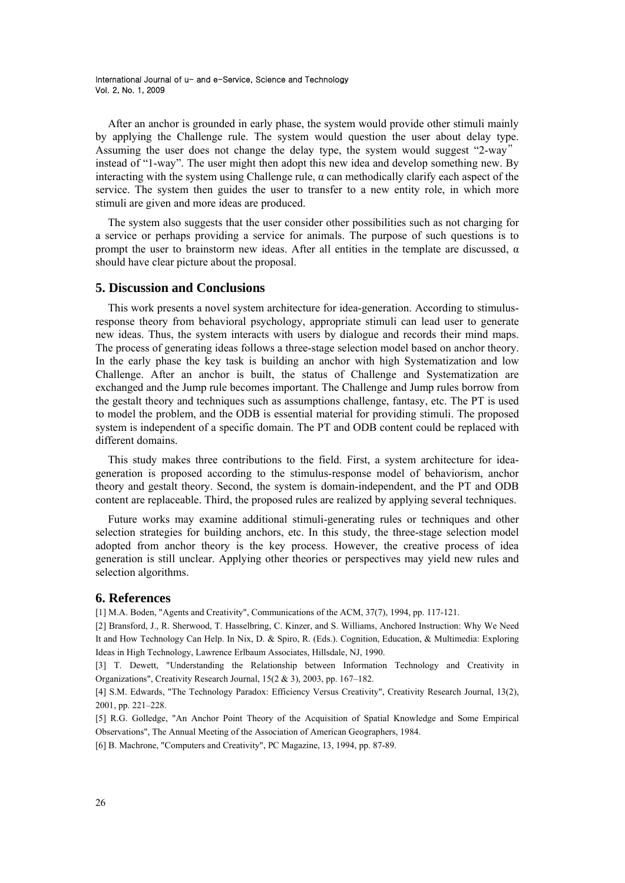After an anchor is grounded in early phase, the system would provide other stimuli mainly by applying the Challenge rule. The system would question the user about delay type. Assuming the user does not change the delay type, the system would suggest "2-way" instead of "1-way". The user might then adopt this new idea and develop something new. By interacting with the system using Challenge rule,  $\alpha$  can methodically clarify each aspect of the service. The system then guides the user to transfer to a new entity role, in which more stimuli are given and more ideas are produced.

The system also suggests that the user consider other possibilities such as not charging for a service or perhaps providing a service for animals. The purpose of such questions is to prompt the user to brainstorm new ideas. After all entities in the template are discussed,  $\alpha$ should have clear picture about the proposal.

### **5. Discussion and Conclusions**

This work presents a novel system architecture for idea-generation. According to stimulusresponse theory from behavioral psychology, appropriate stimuli can lead user to generate new ideas. Thus, the system interacts with users by dialogue and records their mind maps. The process of generating ideas follows a three-stage selection model based on anchor theory. In the early phase the key task is building an anchor with high Systematization and low Challenge. After an anchor is built, the status of Challenge and Systematization are exchanged and the Jump rule becomes important. The Challenge and Jump rules borrow from the gestalt theory and techniques such as assumptions challenge, fantasy, etc. The PT is used to model the problem, and the ODB is essential material for providing stimuli. The proposed system is independent of a specific domain. The PT and ODB content could be replaced with different domains.

This study makes three contributions to the field. First, a system architecture for ideageneration is proposed according to the stimulus-response model of behaviorism, anchor theory and gestalt theory. Second, the system is domain-independent, and the PT and ODB content are replaceable. Third, the proposed rules are realized by applying several techniques.

Future works may examine additional stimuli-generating rules or techniques and other selection strategies for building anchors, etc. In this study, the three-stage selection model adopted from anchor theory is the key process. However, the creative process of idea generation is still unclear. Applying other theories or perspectives may yield new rules and selection algorithms.

### **6. References**

[1] M.A. Boden, "Agents and Creativity", Communications of the ACM, 37(7), 1994, pp. 117-121.

[2] Bransford, J., R. Sherwood, T. Hasselbring, C. Kinzer, and S. Williams, Anchored Instruction: Why We Need It and How Technology Can Help. In Nix, D. & Spiro, R. (Eds.). Cognition, Education, & Multimedia: Exploring Ideas in High Technology, Lawrence Erlbaum Associates, Hillsdale, NJ, 1990.

[3] T. Dewett, "Understanding the Relationship between Information Technology and Creativity in Organizations", Creativity Research Journal, 15(2 & 3), 2003, pp. 167–182.

[4] S.M. Edwards, "The Technology Paradox: Efficiency Versus Creativity", Creativity Research Journal, 13(2), 2001, pp. 221–228.

[5] R.G. Golledge, "An Anchor Point Theory of the Acquisition of Spatial Knowledge and Some Empirical Observations", The Annual Meeting of the Association of American Geographers, 1984.

[6] B. Machrone, "Computers and Creativity", PC Magazine, 13, 1994, pp. 87-89.